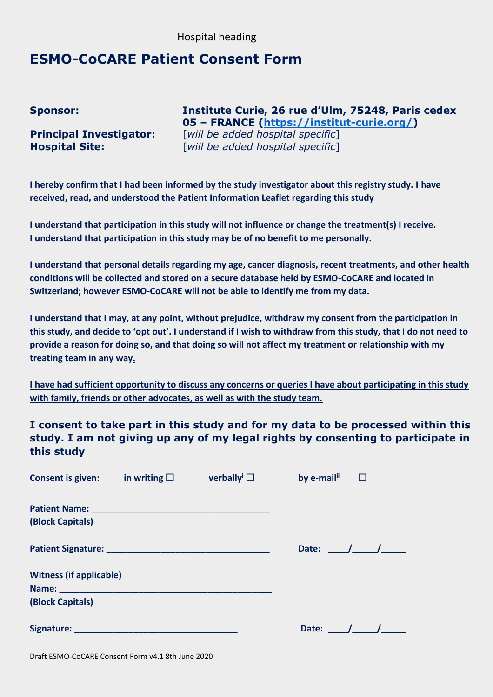## Hospital heading

## **ESMO-CoCARE Patient Consent Form**

**Sponsor: Institute Curie, 26 rue d'Ulm, 75248, Paris cedex 05 – FRANCE [\(https://institut-curie.org/\)](https://institut-curie.org/) Principal Investigator:** [*will be added hospital specific*] **Hospital Site:** [*will be added hospital specific*]

**I hereby confirm that I had been informed by the study investigator about this registry study. I have received, read, and understood the Patient Information Leaflet regarding this study**

**I understand that participation in this study will not influence or change the treatment(s) I receive. I understand that participation in this study may be of no benefit to me personally.**

**I understand that personal details regarding my age, cancer diagnosis, recent treatments, and other health conditions will be collected and stored on a secure database held by ESMO-CoCARE and located in Switzerland; however ESMO-CoCARE will not be able to identify me from my data.**

**I understand that I may, at any point, without prejudice, withdraw my consent from the participation in this study, and decide to 'opt out'. I understand if I wish to withdraw from this study, that I do not need to provide a reason for doing so, and that doing so will not affect my treatment or relationship with my treating team in any way.**

**I have had sufficient opportunity to discuss any concerns or queries I have about participating in this study with family, friends or other advocates, as well as with the study team.**

**I consent to take part in this study and for my data to be processed within this study. I am not giving up any of my legal rights by consenting to participate in this study**

| <b>Consent is given:</b>       | in writing $\square$ | verbally <sup>i</sup> $\Box$ | by e-mail <sup>ii</sup> |
|--------------------------------|----------------------|------------------------------|-------------------------|
|                                |                      |                              |                         |
| (Block Capitals)               |                      |                              |                         |
|                                |                      |                              | Date: $/$ /             |
| <b>Witness (if applicable)</b> |                      |                              |                         |
|                                |                      |                              |                         |
| (Block Capitals)               |                      |                              |                         |
|                                |                      |                              | Date:                   |